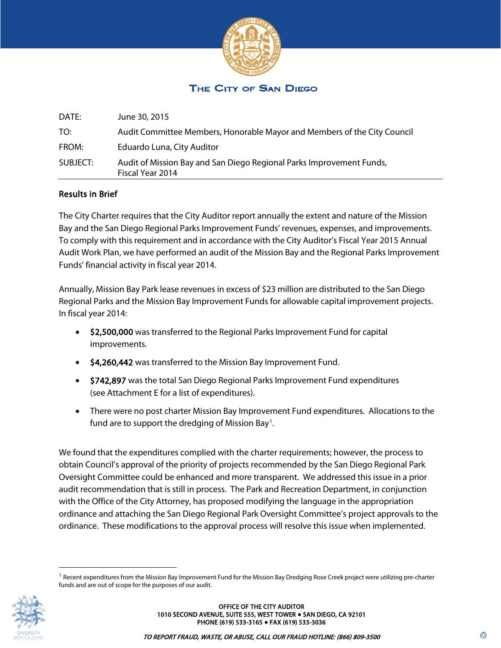

## THE CITY OF SAN DIEGO

| DATE:    | June 30, 2015                                                                            |
|----------|------------------------------------------------------------------------------------------|
| TO:      | Audit Committee Members, Honorable Mayor and Members of the City Council                 |
| FROM:    | Eduardo Luna, City Auditor                                                               |
| SUBJECT: | Audit of Mission Bay and San Diego Regional Parks Improvement Funds,<br>Fiscal Year 2014 |

#### Results in Brief

The City Charter requires that the City Auditor report annually the extent and nature of the Mission Bay and the San Diego Regional Parks Improvement Funds' revenues, expenses, and improvements. To comply with this requirement and in accordance with the City Auditor's Fiscal Year 2015 Annual Audit Work Plan, we have performed an audit of the Mission Bay and the Regional Parks Improvement Funds' financial activity in fiscal year 2014.

Annually, Mission Bay Park lease revenues in excess of \$23 million are distributed to the San Diego Regional Parks and the Mission Bay Improvement Funds for allowable capital improvement projects. In fiscal year 2014:

- \$2,500,000 was transferred to the Regional Parks Improvement Fund for capital improvements.
- \$4,260,442 was transferred to the Mission Bay Improvement Fund.
- \$742,897 was the total San Diego Regional Parks Improvement Fund expenditures (see Attachment E for a list of expenditures).
- There were no post charter Mission Bay Improvement Fund expenditures. Allocations to the fund are to support the dredging of Mission Bay<sup>[1](#page-0-0)</sup>.

We found that the expenditures complied with the charter requirements; however, the process to obtain Council's approval of the priority of projects recommended by the San Diego Regional Park Oversight Committee could be enhanced and more transparent. We addressed this issue in a prior audit recommendation that is still in process. The Park and Recreation Department, in conjunction with the Office of the City Attorney, has proposed modifying the language in the appropriation ordinance and attaching the San Diego Regional Park Oversight Committee's project approvals to the ordinance. These modifications to the approval process will resolve this issue when implemented.

<span id="page-0-0"></span> $1$  Recent expenditures from the Mission Bay Improvement Fund for the Mission Bay Dredging Rose Creek project were utilizing pre-charter funds and are out of scope for the purposes of our audit.

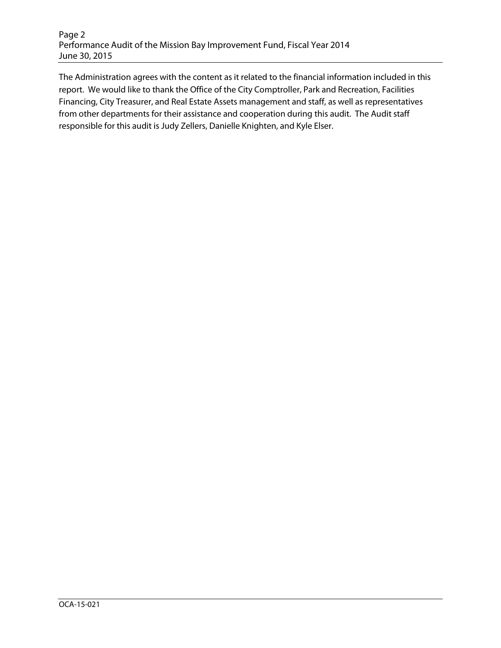The Administration agrees with the content as it related to the financial information included in this report. We would like to thank the Office of the City Comptroller, Park and Recreation, Facilities Financing, City Treasurer, and Real Estate Assets management and staff, as well as representatives from other departments for their assistance and cooperation during this audit. The Audit staff responsible for this audit is Judy Zellers, Danielle Knighten, and Kyle Elser.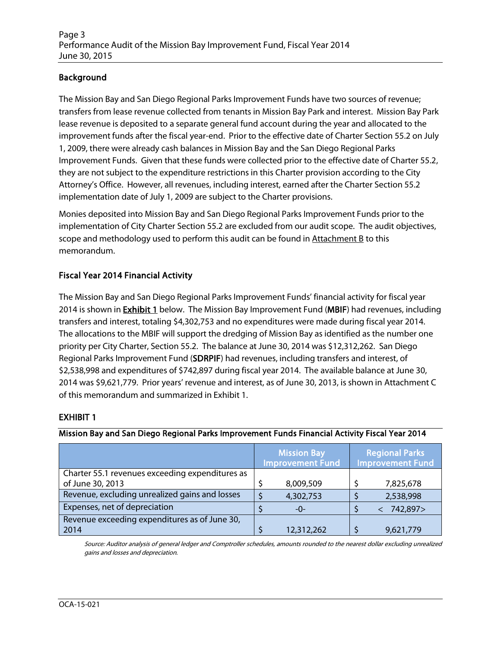## Background

The Mission Bay and San Diego Regional Parks Improvement Funds have two sources of revenue; transfers from lease revenue collected from tenants in Mission Bay Park and interest. Mission Bay Park lease revenue is deposited to a separate general fund account during the year and allocated to the improvement funds after the fiscal year-end. Prior to the effective date of Charter Section 55.2 on July 1, 2009, there were already cash balances in Mission Bay and the San Diego Regional Parks Improvement Funds. Given that these funds were collected prior to the effective date of Charter 55.2, they are not subject to the expenditure restrictions in this Charter provision according to the City Attorney's Office. However, all revenues, including interest, earned after the Charter Section 55.2 implementation date of July 1, 2009 are subject to the Charter provisions.

Monies deposited into Mission Bay and San Diego Regional Parks Improvement Funds prior to the implementation of City Charter Section 55.2 are excluded from our audit scope. The audit objectives, scope and methodology used to perform this audit can be found in  $Attachment B$  to this memorandum.

### Fiscal Year 2014 Financial Activity

The Mission Bay and San Diego Regional Parks Improvement Funds' financial activity for fiscal year 2014 is shown in **Exhibit 1** below. The Mission Bay Improvement Fund (MBIF) had revenues, including transfers and interest, totaling \$4,302,753 and no expenditures were made during fiscal year 2014. The allocations to the MBIF will support the dredging of Mission Bay as identified as the number one priority per City Charter, Section 55.2. The balance at June 30, 2014 was \$12,312,262. San Diego Regional Parks Improvement Fund (SDRPIF) had revenues, including transfers and interest, of \$2,538,998 and expenditures of \$742,897 during fiscal year 2014. The available balance at June 30, 2014 was \$9,621,779. Prior years' revenue and interest, as of June 30, 2013, is shown in Attachment C of this memorandum and summarized in Exhibit 1.

#### EXHIBIT 1

#### Mission Bay and San Diego Regional Parks Improvement Funds Financial Activity Fiscal Year 2014

|                                                 | <b>Mission Bay</b><br><b>Improvement Fund</b> |            | <b>Regional Parks</b><br><b>Improvement Fund</b> |
|-------------------------------------------------|-----------------------------------------------|------------|--------------------------------------------------|
| Charter 55.1 revenues exceeding expenditures as |                                               |            |                                                  |
| of June 30, 2013                                |                                               | 8,009,509  | 7,825,678                                        |
| Revenue, excluding unrealized gains and losses  |                                               | 4,302,753  | 2,538,998                                        |
| Expenses, net of depreciation                   |                                               | -0-        | 742,897>                                         |
| Revenue exceeding expenditures as of June 30,   |                                               |            |                                                  |
| 2014                                            |                                               | 12,312,262 | 9,621,779                                        |

Source: Auditor analysis of general ledger and Comptroller schedules, amounts rounded to the nearest dollar excluding unrealized gains and losses and depreciation.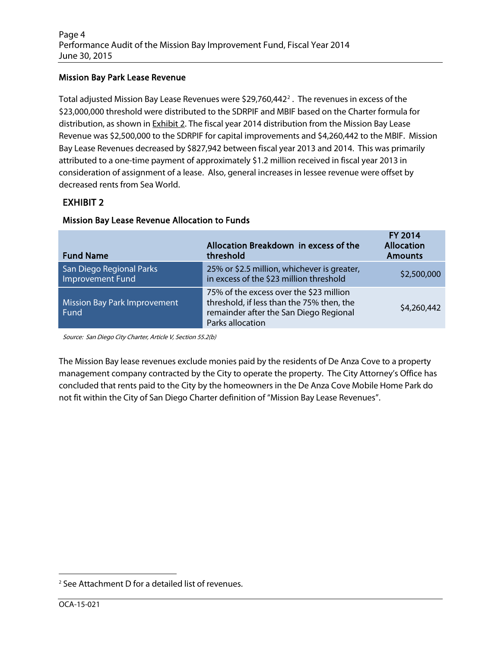### Mission Bay Park Lease Revenue

Total adjusted Mission Bay Lease Revenues were  $$29,760,442^2$  $$29,760,442^2$  $$29,760,442^2$ . The revenues in excess of the \$23,000,000 threshold were distributed to the SDRPIF and MBIF based on the Charter formula for distribution, as shown in **Exhibit 2**. The fiscal year 2014 distribution from the Mission Bay Lease Revenue was \$2,500,000 to the SDRPIF for capital improvements and \$4,260,442 to the MBIF. Mission Bay Lease Revenues decreased by \$827,942 between fiscal year 2013 and 2014. This was primarily attributed to a one-time payment of approximately \$1.2 million received in fiscal year 2013 in consideration of assignment of a lease. Also, general increases in lessee revenue were offset by decreased rents from Sea World.

## EXHIBIT 2

| <b>Fund Name</b>                             | Allocation Breakdown in excess of the<br>threshold                                                                                                 | <b>FY 2014</b><br><b>Allocation</b><br><b>Amounts</b> |
|----------------------------------------------|----------------------------------------------------------------------------------------------------------------------------------------------------|-------------------------------------------------------|
| San Diego Regional Parks<br>Improvement Fund | 25% or \$2.5 million, whichever is greater,<br>in excess of the \$23 million threshold                                                             | \$2,500,000                                           |
| Mission Bay Park Improvement<br>Fund         | 75% of the excess over the \$23 million<br>threshold, if less than the 75% then, the<br>remainder after the San Diego Regional<br>Parks allocation | \$4,260,442                                           |

#### Mission Bay Lease Revenue Allocation to Funds

Source: San Diego City Charter, Article V, Section 55.2(b)

The Mission Bay lease revenues exclude monies paid by the residents of De Anza Cove to a property management company contracted by the City to operate the property. The City Attorney's Office has concluded that rents paid to the City by the homeowners in the De Anza Cove Mobile Home Park do not fit within the City of San Diego Charter definition of "Mission Bay Lease Revenues".

<span id="page-3-0"></span> <sup>2</sup> See Attachment D for a detailed list of revenues.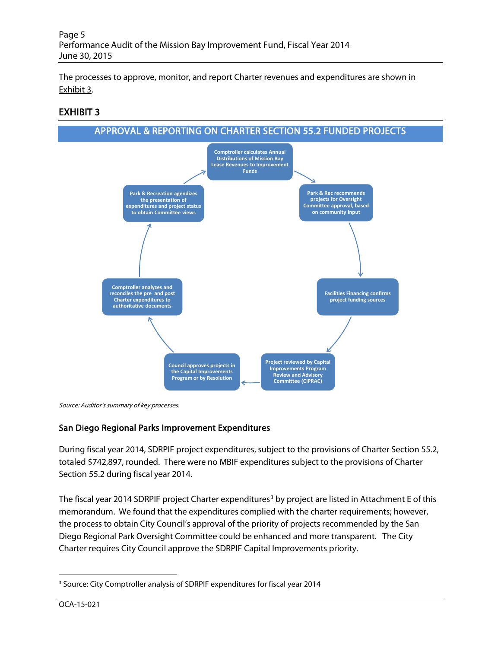The processes to approve, monitor, and report Charter revenues and expenditures are shown in Exhibit 3.

## EXHIBIT 3



Source: Auditor's summary of key processes.

### San Diego Regional Parks Improvement Expenditures

During fiscal year 2014, SDRPIF project expenditures, subject to the provisions of Charter Section 55.2, totaled \$742,897, rounded. There were no MBIF expenditures subject to the provisions of Charter Section 55.2 during fiscal year 2014.

The fiscal year 2014 SDRPIF project Charter expenditures<sup>[3](#page-4-0)</sup> by project are listed in Attachment E of this memorandum. We found that the expenditures complied with the charter requirements; however, the process to obtain City Council's approval of the priority of projects recommended by the San Diego Regional Park Oversight Committee could be enhanced and more transparent. The City Charter requires City Council approve the SDRPIF Capital Improvements priority.

<span id="page-4-0"></span><sup>&</sup>lt;sup>3</sup> Source: City Comptroller analysis of SDRPIF expenditures for fiscal year 2014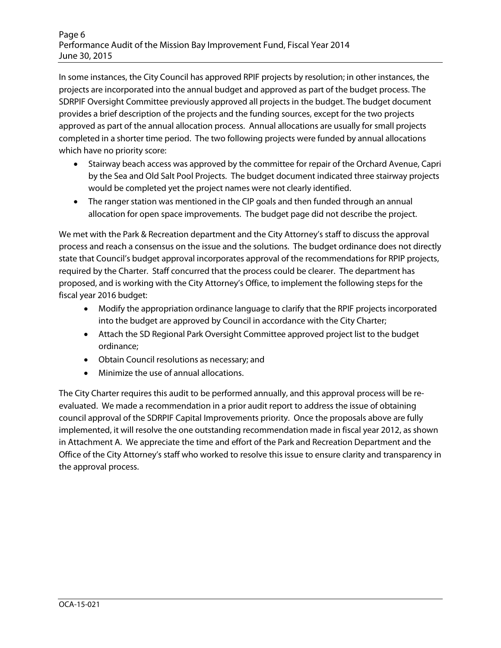In some instances, the City Council has approved RPIF projects by resolution; in other instances, the projects are incorporated into the annual budget and approved as part of the budget process. The SDRPIF Oversight Committee previously approved all projects in the budget. The budget document provides a brief description of the projects and the funding sources, except for the two projects approved as part of the annual allocation process. Annual allocations are usually for small projects completed in a shorter time period. The two following projects were funded by annual allocations which have no priority score:

- Stairway beach access was approved by the committee for repair of the Orchard Avenue, Capri by the Sea and Old Salt Pool Projects. The budget document indicated three stairway projects would be completed yet the project names were not clearly identified.
- The ranger station was mentioned in the CIP goals and then funded through an annual allocation for open space improvements. The budget page did not describe the project.

We met with the Park & Recreation department and the City Attorney's staff to discuss the approval process and reach a consensus on the issue and the solutions. The budget ordinance does not directly state that Council's budget approval incorporates approval of the recommendations for RPIP projects, required by the Charter. Staff concurred that the process could be clearer. The department has proposed, and is working with the City Attorney's Office, to implement the following steps for the fiscal year 2016 budget:

- Modify the appropriation ordinance language to clarify that the RPIF projects incorporated into the budget are approved by Council in accordance with the City Charter;
- Attach the SD Regional Park Oversight Committee approved project list to the budget ordinance;
- Obtain Council resolutions as necessary; and
- Minimize the use of annual allocations.

The City Charter requires this audit to be performed annually, and this approval process will be reevaluated. We made a recommendation in a prior audit report to address the issue of obtaining council approval of the SDRPIF Capital Improvements priority. Once the proposals above are fully implemented, it will resolve the one outstanding recommendation made in fiscal year 2012, as shown in Attachment A. We appreciate the time and effort of the Park and Recreation Department and the Office of the City Attorney's staff who worked to resolve this issue to ensure clarity and transparency in the approval process.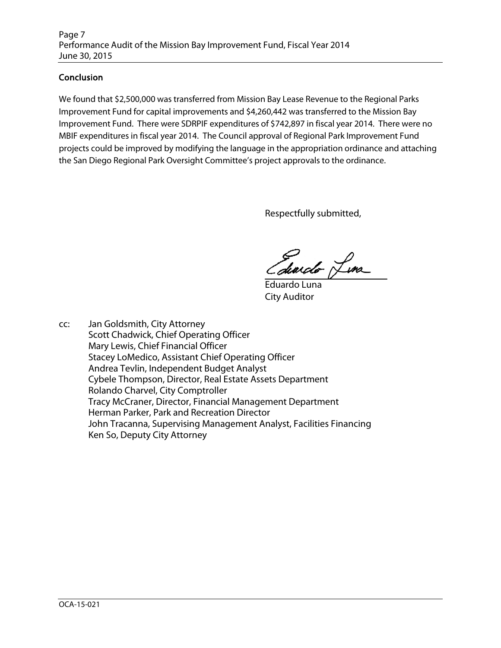### **Conclusion**

We found that \$2,500,000 was transferred from Mission Bay Lease Revenue to the Regional Parks Improvement Fund for capital improvements and \$4,260,442 was transferred to the Mission Bay Improvement Fund. There were SDRPIF expenditures of \$742,897 in fiscal year 2014. There were no MBIF expenditures in fiscal year 2014. The Council approval of Regional Park Improvement Fund projects could be improved by modifying the language in the appropriation ordinance and attaching the San Diego Regional Park Oversight Committee's project approvals to the ordinance.

Respectfully submitted,

Edwicht Line

Eduardo Luna City Auditor

cc: Jan Goldsmith, City Attorney Scott Chadwick, Chief Operating Officer Mary Lewis, Chief Financial Officer Stacey LoMedico, Assistant Chief Operating Officer Andrea Tevlin, Independent Budget Analyst Cybele Thompson, Director, Real Estate Assets Department Rolando Charvel, City Comptroller Tracy McCraner, Director, Financial Management Department Herman Parker, Park and Recreation Director John Tracanna, Supervising Management Analyst, Facilities Financing Ken So, Deputy City Attorney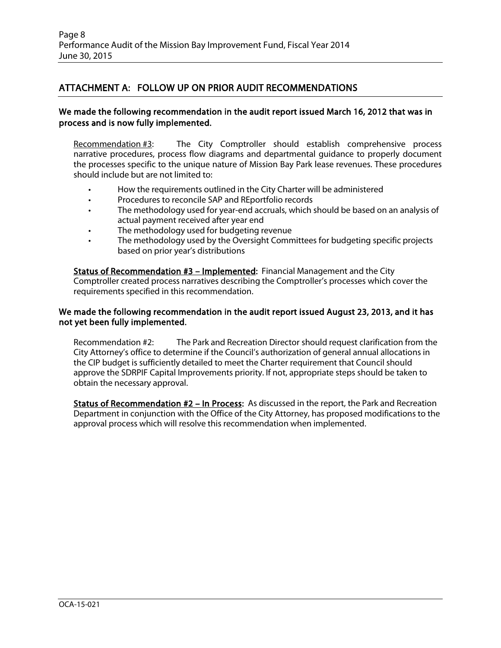## ATTACHMENT A: FOLLOW UP ON PRIOR AUDIT RECOMMENDATIONS

#### We made the following recommendation in the audit report issued March 16, 2012 that was in process and is now fully implemented.

Recommendation #3: The City Comptroller should establish comprehensive process narrative procedures, process flow diagrams and departmental guidance to properly document the processes specific to the unique nature of Mission Bay Park lease revenues. These procedures should include but are not limited to:

- How the requirements outlined in the City Charter will be administered
- Procedures to reconcile SAP and REportfolio records
- The methodology used for year-end accruals, which should be based on an analysis of actual payment received after year end
- The methodology used for budgeting revenue
- The methodology used by the Oversight Committees for budgeting specific projects based on prior year's distributions

Status of Recommendation #3 – Implemented: Financial Management and the City Comptroller created process narratives describing the Comptroller's processes which cover the requirements specified in this recommendation.

#### We made the following recommendation in the audit report issued August 23, 2013, and it has not yet been fully implemented.

Recommendation #2: The Park and Recreation Director should request clarification from the City Attorney's office to determine if the Council's authorization of general annual allocations in the CIP budget is sufficiently detailed to meet the Charter requirement that Council should approve the SDRPIF Capital Improvements priority. If not, appropriate steps should be taken to obtain the necessary approval.

Status of Recommendation #2 – In Process: As discussed in the report, the Park and Recreation Department in conjunction with the Office of the City Attorney, has proposed modifications to the approval process which will resolve this recommendation when implemented.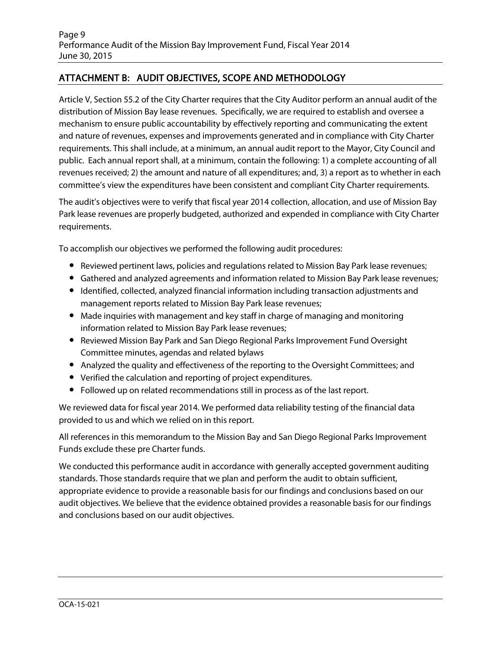## ATTACHMENT B: AUDIT OBJECTIVES, SCOPE AND METHODOLOGY

Article V, Section 55.2 of the City Charter requires that the City Auditor perform an annual audit of the distribution of Mission Bay lease revenues. Specifically, we are required to establish and oversee a mechanism to ensure public accountability by effectively reporting and communicating the extent and nature of revenues, expenses and improvements generated and in compliance with City Charter requirements. This shall include, at a minimum, an annual audit report to the Mayor, City Council and public. Each annual report shall, at a minimum, contain the following: 1) a complete accounting of all revenues received; 2) the amount and nature of all expenditures; and, 3) a report as to whether in each committee's view the expenditures have been consistent and compliant City Charter requirements.

The audit's objectives were to verify that fiscal year 2014 collection, allocation, and use of Mission Bay Park lease revenues are properly budgeted, authorized and expended in compliance with City Charter requirements.

To accomplish our objectives we performed the following audit procedures:

- Reviewed pertinent laws, policies and regulations related to Mission Bay Park lease revenues;
- Gathered and analyzed agreements and information related to Mission Bay Park lease revenues;
- Identified, collected, analyzed financial information including transaction adjustments and management reports related to Mission Bay Park lease revenues;
- Made inquiries with management and key staff in charge of managing and monitoring information related to Mission Bay Park lease revenues;
- Reviewed Mission Bay Park and San Diego Regional Parks Improvement Fund Oversight Committee minutes, agendas and related bylaws
- Analyzed the quality and effectiveness of the reporting to the Oversight Committees; and
- Verified the calculation and reporting of project expenditures.
- Followed up on related recommendations still in process as of the last report.

We reviewed data for fiscal year 2014. We performed data reliability testing of the financial data provided to us and which we relied on in this report.

All references in this memorandum to the Mission Bay and San Diego Regional Parks Improvement Funds exclude these pre Charter funds.

We conducted this performance audit in accordance with generally accepted government auditing standards. Those standards require that we plan and perform the audit to obtain sufficient, appropriate evidence to provide a reasonable basis for our findings and conclusions based on our audit objectives. We believe that the evidence obtained provides a reasonable basis for our findings and conclusions based on our audit objectives.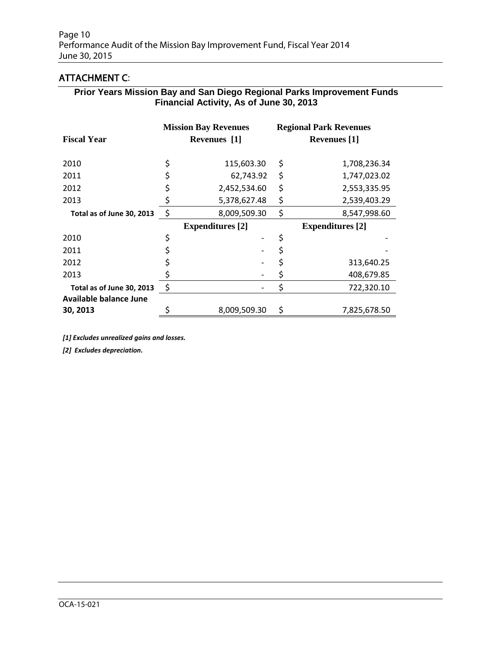# ATTACHMENT C:

#### **Prior Years Mission Bay and San Diego Regional Parks Improvement Funds Financial Activity, As of June 30, 2013**

|                               | <b>Mission Bay Revenues</b> |                         | <b>Regional Park Revenues</b> |                         |  |
|-------------------------------|-----------------------------|-------------------------|-------------------------------|-------------------------|--|
| <b>Fiscal Year</b>            | Revenues [1]                |                         | <b>Revenues</b> [1]           |                         |  |
| 2010                          |                             | 115,603.30              | \$                            | 1,708,236.34            |  |
| 2011                          |                             | 62,743.92               | \$                            | 1,747,023.02            |  |
| 2012                          |                             | 2,452,534.60            | \$                            | 2,553,335.95            |  |
| 2013                          |                             | 5,378,627.48            | \$                            | 2,539,403.29            |  |
| Total as of June 30, 2013     | \$                          | 8,009,509.30            | \$                            | 8,547,998.60            |  |
|                               |                             | <b>Expenditures</b> [2] |                               | <b>Expenditures</b> [2] |  |
| 2010                          |                             |                         | \$                            |                         |  |
| 2011                          |                             |                         | \$                            |                         |  |
| 2012                          |                             |                         | \$                            | 313,640.25              |  |
| 2013                          |                             |                         | \$                            | 408,679.85              |  |
| Total as of June 30, 2013     |                             |                         | \$                            | 722,320.10              |  |
| <b>Available balance June</b> |                             |                         |                               |                         |  |
| 30, 2013                      |                             | 8,009,509.30            | \$                            | 7,825,678.50            |  |

*[1] Excludes unrealized gains and losses.*

*[2] Excludes depreciation.*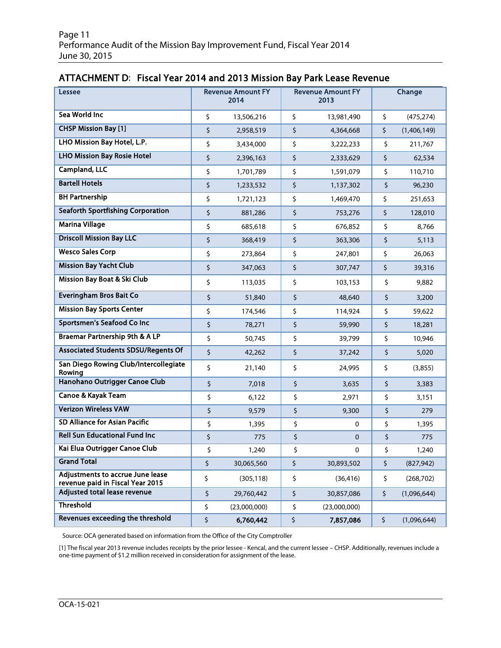## ATTACHMENT D: Fiscal Year 2014 and 2013 Mission Bay Park Lease Revenue

| <b>Lessee</b>                                                               | <b>Revenue Amount FY</b><br>2014 | <b>Revenue Amount FY</b><br>2013 |              | Change |             |
|-----------------------------------------------------------------------------|----------------------------------|----------------------------------|--------------|--------|-------------|
| Sea World Inc                                                               | \$<br>13,506,216                 | \$                               | 13,981,490   | \$     | (475, 274)  |
| <b>CHSP Mission Bay [1]</b>                                                 | \$<br>2,958,519                  | \$                               | 4,364,668    | \$     | (1,406,149) |
| LHO Mission Bay Hotel, L.P.                                                 | \$<br>3,434,000                  | \$                               | 3,222,233    | \$     | 211,767     |
| <b>LHO Mission Bay Rosie Hotel</b>                                          | \$<br>2,396,163                  | \$                               | 2,333,629    | \$     | 62,534      |
| <b>Campland, LLC</b>                                                        | \$<br>1,701,789                  | \$                               | 1,591,079    | \$     | 110,710     |
| <b>Bartell Hotels</b>                                                       | \$<br>1,233,532                  | \$                               | 1,137,302    | \$     | 96,230      |
| <b>BH Partnership</b>                                                       | \$<br>1,721,123                  | \$                               | 1,469,470    | \$     | 251,653     |
| <b>Seaforth Sportfishing Corporation</b>                                    | \$<br>881,286                    | \$                               | 753,276      | \$     | 128,010     |
| <b>Marina Village</b>                                                       | \$<br>685,618                    | \$                               | 676,852      | \$     | 8,766       |
| <b>Driscoll Mission Bay LLC</b>                                             | \$<br>368,419                    | \$                               | 363,306      | \$     | 5,113       |
| <b>Wesco Sales Corp</b>                                                     | \$<br>273,864                    | \$                               | 247,801      | \$     | 26,063      |
| <b>Mission Bay Yacht Club</b>                                               | \$<br>347,063                    | \$                               | 307,747      | \$     | 39,316      |
| <b>Mission Bay Boat &amp; Ski Club</b>                                      | \$<br>113,035                    | \$                               | 103,153      | \$     | 9,882       |
| <b>Everingham Bros Bait Co</b>                                              | \$<br>51,840                     | \$                               | 48,640       | \$     | 3,200       |
| <b>Mission Bay Sports Center</b>                                            | \$<br>174,546                    | \$                               | 114,924      | \$     | 59,622      |
| <b>Sportsmen's Seafood Co Inc</b>                                           | \$<br>78,271                     | \$                               | 59,990       | \$     | 18,281      |
| <b>Braemar Partnership 9th &amp; A LP</b>                                   | \$<br>50,745                     | \$                               | 39,799       | \$     | 10,946      |
| <b>Associated Students SDSU/Regents Of</b>                                  | \$<br>42,262                     | \$                               | 37,242       | \$     | 5,020       |
| San Diego Rowing Club/Intercollegiate<br>Rowing                             | \$<br>21,140                     | \$                               | 24,995       | \$     | (3,855)     |
| Hanohano Outrigger Canoe Club                                               | \$<br>7,018                      | \$                               | 3,635        | \$     | 3,383       |
| Canoe & Kayak Team                                                          | \$<br>6,122                      | \$                               | 2,971        | \$     | 3,151       |
| <b>Verizon Wireless VAW</b>                                                 | \$<br>9,579                      | \$                               | 9,300        | \$     | 279         |
| SD Alliance for Asian Pacific                                               | \$<br>1,395                      | \$                               | 0            | \$     | 1,395       |
| <b>Rell Sun Educational Fund Inc</b>                                        | \$<br>775                        | \$                               | $\mathbf 0$  | \$     | 775         |
| Kai Elua Outrigger Canoe Club                                               | \$<br>1,240                      | \$                               | $\Omega$     | \$     | 1,240       |
| <b>Grand Total</b>                                                          | \$<br>30,065,560                 | \$                               | 30,893,502   | \$.    | (827, 942)  |
| <b>Adjustments to accrue June lease</b><br>revenue paid in Fiscal Year 2015 | \$<br>(305, 118)                 | \$                               | (36, 416)    | \$     | (268, 702)  |
| Adjusted total lease revenue                                                | \$<br>29,760,442                 | \$                               | 30,857,086   | \$     | (1,096,644) |
| <b>Threshold</b>                                                            | \$<br>(23,000,000)               | \$                               | (23,000,000) |        |             |
| Revenues exceeding the threshold                                            | \$<br>6,760,442                  | \$                               | 7,857,086    | \$     | (1,096,644) |

Source: OCA generated based on information from the Office of the City Comptroller

[1] The fiscal year 2013 revenue includes receipts by the prior lessee - Kencal, and the current lessee – CHSP. Additionally, revenues include a one-time payment of \$1.2 million received in consideration for assignment of the lease.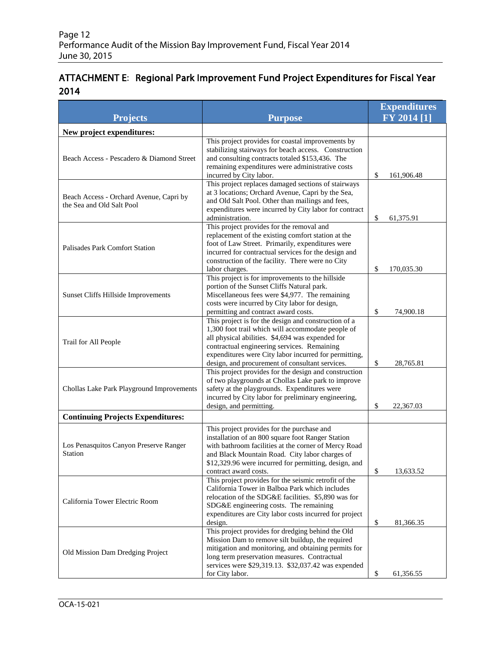# ATTACHMENT E: Regional Park Improvement Fund Project Expenditures for Fiscal Year 2014

| <b>Projects</b>                                                      | <b>Purpose</b>                                                                                                                                                                                                                                                                                                           | <b>Expenditures</b><br>$\overline{FY}$ 2014 [1] |  |  |
|----------------------------------------------------------------------|--------------------------------------------------------------------------------------------------------------------------------------------------------------------------------------------------------------------------------------------------------------------------------------------------------------------------|-------------------------------------------------|--|--|
| New project expenditures:                                            |                                                                                                                                                                                                                                                                                                                          |                                                 |  |  |
| Beach Access - Pescadero & Diamond Street                            | This project provides for coastal improvements by<br>stabilizing stairways for beach access. Construction<br>and consulting contracts totaled \$153,436. The<br>remaining expenditures were administrative costs<br>incurred by City labor.                                                                              | \$<br>161,906.48                                |  |  |
| Beach Access - Orchard Avenue, Capri by<br>the Sea and Old Salt Pool | This project replaces damaged sections of stairways<br>at 3 locations; Orchard Avenue, Capri by the Sea,<br>and Old Salt Pool. Other than mailings and fees,<br>expenditures were incurred by City labor for contract<br>administration.                                                                                 | \$<br>61,375.91                                 |  |  |
| <b>Palisades Park Comfort Station</b>                                | This project provides for the removal and<br>replacement of the existing comfort station at the<br>foot of Law Street. Primarily, expenditures were<br>incurred for contractual services for the design and<br>construction of the facility. There were no City<br>labor charges.                                        | \$<br>170,035.30                                |  |  |
| Sunset Cliffs Hillside Improvements                                  | This project is for improvements to the hillside<br>portion of the Sunset Cliffs Natural park.<br>Miscellaneous fees were \$4,977. The remaining<br>costs were incurred by City labor for design,<br>permitting and contract award costs.                                                                                | \$<br>74,900.18                                 |  |  |
| Trail for All People                                                 | This project is for the design and construction of a<br>1,300 foot trail which will accommodate people of<br>all physical abilities. \$4,694 was expended for<br>contractual engineering services. Remaining<br>expenditures were City labor incurred for permitting,<br>design, and procurement of consultant services. | \$<br>28,765.81                                 |  |  |
| Chollas Lake Park Playground Improvements                            | This project provides for the design and construction<br>of two playgrounds at Chollas Lake park to improve<br>safety at the playgrounds. Expenditures were<br>incurred by City labor for preliminary engineering,<br>design, and permitting.                                                                            | \$<br>22,367.03                                 |  |  |
| <b>Continuing Projects Expenditures:</b>                             |                                                                                                                                                                                                                                                                                                                          |                                                 |  |  |
| Los Penasquitos Canyon Preserve Ranger<br>Station                    | This project provides for the purchase and<br>installation of an 800 square foot Ranger Station<br>with bathroom facilities at the corner of Mercy Road<br>and Black Mountain Road. City labor charges of<br>\$12,329.96 were incurred for permitting, design, and<br>contract award costs.                              | 13,633.52<br>\$                                 |  |  |
| California Tower Electric Room                                       | This project provides for the seismic retrofit of the<br>California Tower in Balboa Park which includes<br>relocation of the SDG&E facilities. \$5,890 was for<br>SDG&E engineering costs. The remaining<br>expenditures are City labor costs incurred for project<br>design.                                            | \$<br>81,366.35                                 |  |  |
| Old Mission Dam Dredging Project                                     | This project provides for dredging behind the Old<br>Mission Dam to remove silt buildup, the required<br>mitigation and monitoring, and obtaining permits for<br>long term preservation measures. Contractual<br>services were \$29,319.13. \$32,037.42 was expended<br>for City labor.                                  | \$<br>61,356.55                                 |  |  |